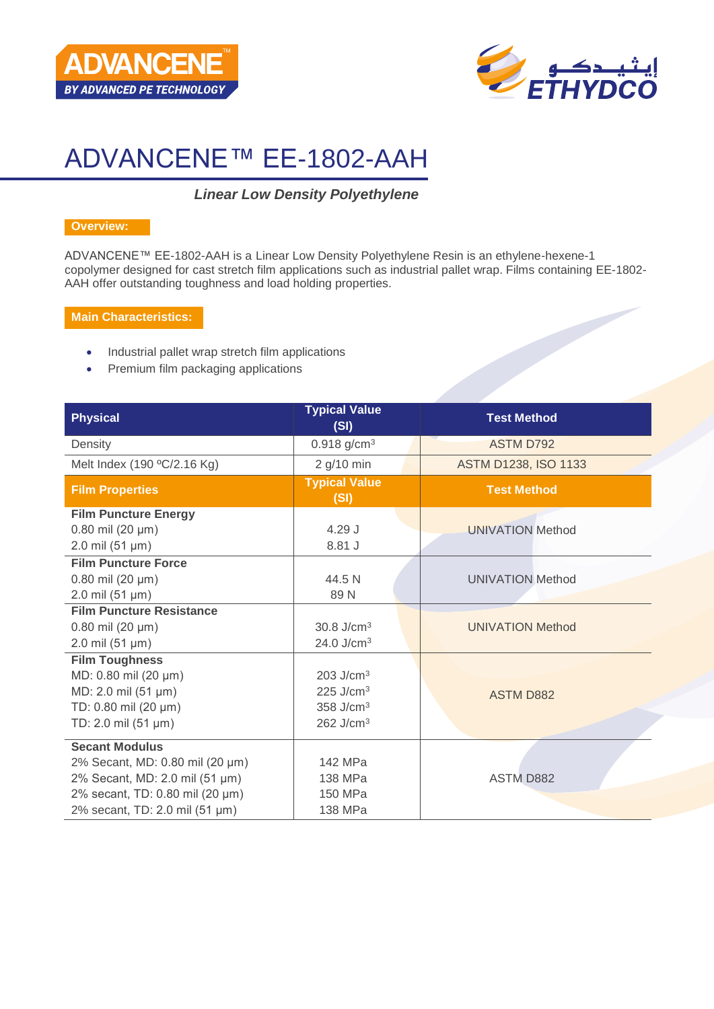



# ADVANCENE™ EE-1802-AAH

# *Linear Low Density Polyethylene*

#### **Overview:**

ADVANCENE™ EE-1802-AAH is a Linear Low Density Polyethylene Resin is an ethylene-hexene-1 copolymer designed for cast stretch film applications such as industrial pallet wrap. Films containing EE-1802- AAH offer outstanding toughness and load holding properties.

#### **Main Characteristics:**

- Industrial pallet wrap stretch film applications
- Premium film packaging applications

| <b>Physical</b>                                                                                                                                                 | <b>Typical Value</b><br>(SI)                                                                           | <b>Test Method</b>          |
|-----------------------------------------------------------------------------------------------------------------------------------------------------------------|--------------------------------------------------------------------------------------------------------|-----------------------------|
| Density                                                                                                                                                         | $0.918$ g/cm <sup>3</sup>                                                                              | <b>ASTM D792</b>            |
| Melt Index (190 °C/2.16 Kg)                                                                                                                                     | 2 g/10 min                                                                                             | <b>ASTM D1238, ISO 1133</b> |
| <b>Film Properties</b>                                                                                                                                          | <b>Typical Value</b><br>(SI)                                                                           | <b>Test Method</b>          |
| <b>Film Puncture Energy</b><br>$0.80$ mil (20 µm)<br>$2.0 \text{ mil} (51 \text{ µm})$                                                                          | $4.29$ J<br>8.81 J                                                                                     | <b>UNIVATION Method</b>     |
| <b>Film Puncture Force</b><br>$0.80$ mil (20 µm)<br>$2.0$ mil (51 µm)                                                                                           | 44.5 N<br>89N                                                                                          | <b>UNIVATION Method</b>     |
| <b>Film Puncture Resistance</b><br>$0.80$ mil (20 µm)<br>$2.0 \text{ mil} (51 \text{ µm})$                                                                      | 30.8 $J/cm3$<br>24.0 J/cm <sup>3</sup>                                                                 | <b>UNIVATION Method</b>     |
| <b>Film Toughness</b><br>MD: 0.80 mil (20 µm)<br>MD: 2.0 mil (51 µm)<br>TD: 0.80 mil (20 µm)<br>TD: 2.0 mil (51 µm)                                             | $203$ J/cm <sup>3</sup><br>$225$ J/cm <sup>3</sup><br>358 J/cm <sup>3</sup><br>$262$ J/cm <sup>3</sup> | <b>ASTM D882</b>            |
| <b>Secant Modulus</b><br>2% Secant, MD: 0.80 mil (20 µm)<br>2% Secant, MD: 2.0 mil (51 µm)<br>2% secant, TD: 0.80 mil (20 µm)<br>2% secant, TD: 2.0 mil (51 µm) | 142 MPa<br>138 MPa<br>150 MPa<br>138 MPa                                                               | <b>ASTM D882</b>            |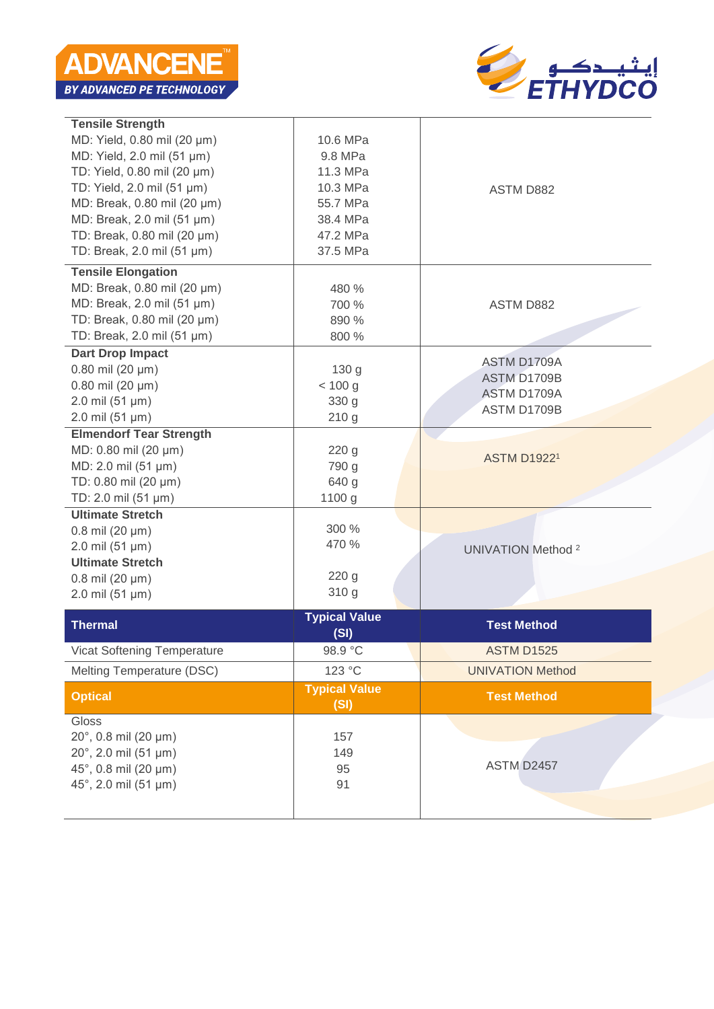

| <b>Tensile Strength</b>            |                      |                           |
|------------------------------------|----------------------|---------------------------|
| MD: Yield, 0.80 mil (20 µm)        | 10.6 MPa             |                           |
| MD: Yield, 2.0 mil (51 µm)         | 9.8 MPa              |                           |
| TD: Yield, 0.80 mil (20 µm)        | 11.3 MPa             |                           |
| TD: Yield, 2.0 mil (51 µm)         | 10.3 MPa             | <b>ASTM D882</b>          |
| MD: Break, 0.80 mil (20 µm)        | 55.7 MPa             |                           |
| MD: Break, 2.0 mil (51 µm)         | 38.4 MPa             |                           |
| TD: Break, 0.80 mil (20 µm)        | 47.2 MPa             |                           |
| TD: Break, 2.0 mil (51 µm)         | 37.5 MPa             |                           |
| <b>Tensile Elongation</b>          |                      |                           |
| MD: Break, 0.80 mil (20 µm)        | 480 %                |                           |
| MD: Break, 2.0 mil (51 µm)         | 700 %                | <b>ASTM D882</b>          |
| TD: Break, 0.80 mil (20 µm)        | 890 %                |                           |
| TD: Break, 2.0 mil (51 µm)         | 800 %                |                           |
| <b>Dart Drop Impact</b>            |                      | ASTM D1709A               |
| $0.80$ mil (20 µm)                 | 130 <sub>g</sub>     | ASTM D1709B               |
| $0.80$ mil (20 µm)                 | < 100 g              | ASTM D1709A               |
| $2.0$ mil (51 µm)                  | 330 g                | ASTM D1709B               |
| $2.0$ mil (51 µm)                  | 210g                 |                           |
| <b>Elmendorf Tear Strength</b>     |                      |                           |
| MD: 0.80 mil (20 µm)               | 220 <sub>g</sub>     | <b>ASTM D19221</b>        |
| MD: 2.0 mil (51 µm)                | 790 g                |                           |
| TD: 0.80 mil (20 µm)               | 640 g                |                           |
| TD: 2.0 mil (51 µm)                | 1100 g               |                           |
| <b>Ultimate Stretch</b>            |                      |                           |
| $0.8$ mil (20 $\mu$ m)             | 300 %                |                           |
| $2.0$ mil (51 µm)                  | 470 %                | <b>UNIVATION Method 2</b> |
| <b>Ultimate Stretch</b>            |                      |                           |
| $0.8$ mil (20 µm)                  | 220 g                |                           |
| $2.0$ mil (51 µm)                  | 310 g                |                           |
|                                    | <b>Typical Value</b> | <b>Test Method</b>        |
| <b>Thermal</b>                     | (SI)                 |                           |
| <b>Vicat Softening Temperature</b> | 98.9 °C              | <b>ASTM D1525</b>         |
| Melting Temperature (DSC)          | 123 °C               | <b>UNIVATION Method</b>   |
| <b>Optical</b>                     | <b>Typical Value</b> | <b>Test Method</b>        |
|                                    | (SI)                 |                           |
| Gloss                              |                      |                           |
| 20°, 0.8 mil (20 µm)               | 157                  |                           |
| $20^{\circ}$ , 2.0 mil (51 µm)     | 149                  |                           |
| 45°, 0.8 mil (20 µm)               | 95                   | ASTM D2457                |
|                                    |                      |                           |
| 45°, 2.0 mil (51 µm)               | 91                   |                           |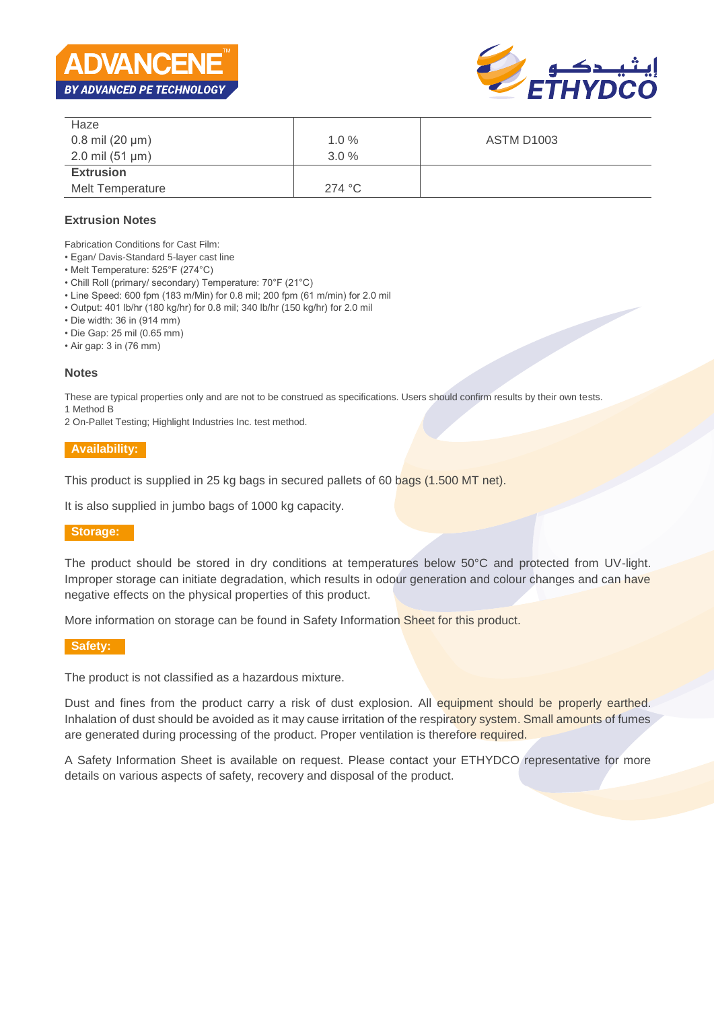



| Haze                   |         |                   |
|------------------------|---------|-------------------|
| $0.8$ mil (20 $\mu$ m) | 1.0%    | <b>ASTM D1003</b> |
| 2.0 mil $(51 \mu m)$   | $3.0\%$ |                   |
| <b>Extrusion</b>       |         |                   |
| Melt Temperature       | 274 °C  |                   |

## **Extrusion Notes**

Fabrication Conditions for Cast Film:

- Egan/ Davis-Standard 5-layer cast line
- Melt Temperature: 525°F (274°C)
- Chill Roll (primary/ secondary) Temperature: 70°F (21°C)
- Line Speed: 600 fpm (183 m/Min) for 0.8 mil; 200 fpm (61 m/min) for 2.0 mil
- Output: 401 lb/hr (180 kg/hr) for 0.8 mil; 340 lb/hr (150 kg/hr) for 2.0 mil
- Die width: 36 in (914 mm)
- Die Gap: 25 mil (0.65 mm)
- Air gap: 3 in (76 mm)

#### **Notes**

These are typical properties only and are not to be construed as specifications. Users should confirm results by their own tests. 1 Method B

2 On-Pallet Testing; Highlight Industries Inc. test method.

#### **Availability:**

This product is supplied in 25 kg bags in secured pallets of 60 bags (1.500 MT net).

It is also supplied in jumbo bags of 1000 kg capacity.

#### **Storage:**

The product should be stored in dry conditions at temperatures below 50°C and protected from UV-light. Improper storage can initiate degradation, which results in odour generation and colour changes and can have negative effects on the physical properties of this product.

More information on storage can be found in Safety Information Sheet for this product.

#### **Safety:**

The product is not classified as a hazardous mixture.

Dust and fines from the product carry a risk of dust explosion. All equipment should be properly earthed. Inhalation of dust should be avoided as it may cause irritation of the respiratory system. Small amounts of fumes are generated during processing of the product. Proper ventilation is therefore required.

A Safety Information Sheet is available on request. Please contact your ETHYDCO representative for more details on various aspects of safety, recovery and disposal of the product.